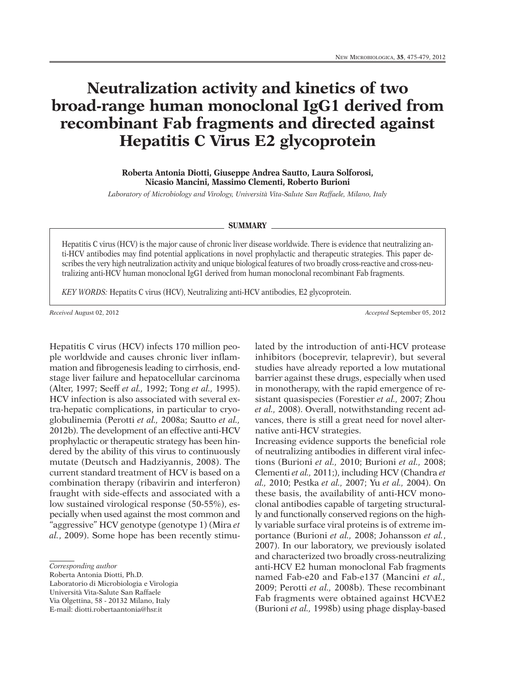## **Neutralization activity and kinetics of two broad-range human monoclonal IgG1 derived from recombinant Fab fragments and directed against Hepatitis C Virus E2 glycoprotein**

**Roberta Antonia Diotti, Giuseppe Andrea Sautto, Laura Solforosi, Nicasio Mancini, Massimo Clementi, Roberto Burioni**

*Laboratory of Microbiology and Virology, Università Vita-Salute San Raffaele, Milano, Italy*

## **SUMMARY**

Hepatitis C virus (HCV) is the major cause of chronic liver disease worldwide. There is evidence that neutralizing anti-HCV antibodies may find potential applications in novel prophylactic and therapeutic strategies. This paper describes the very high neutralization activity and unique biological features of two broadly cross-reactive and cross-neutralizing anti-HCV human monoclonal IgG1 derived from human monoclonal recombinant Fab fragments.

*KEY WORDS:* Hepatits C virus (HCV), Neutralizing anti-HCV antibodies, E2 glycoprotein.

*Received* August 02, 2012 *Accepted* September 05, 2012

Hepatitis C virus (HCV) infects 170 million people worldwide and causes chronic liver inflammation and fibrogenesis leading to cirrhosis, endstage liver failure and hepatocellular carcinoma (Alter, 1997; Seeff *et al.,* 1992; Tong *et al.,* 1995). HCV infection is also associated with several extra-hepatic complications, in particular to cryoglobulinemia (Perotti *et al.,* 2008a; Sautto *et al.,* 2012b). The development of an effective anti-HCV prophylactic or therapeutic strategy has been hindered by the ability of this virus to continuously mutate (Deutsch and Hadziyannis, 2008). The current standard treatment of HCV is based on a combination therapy (ribavirin and interferon) fraught with side-effects and associated with a low sustained virological response (50-55%), especially when used against the most common and "aggressive" HCV genotype (genotype 1) (Mira *et al.*, 2009). Some hope has been recently stimu-

Roberta Antonia Diotti, Ph.D.

Laboratorio di Microbiologia e Virologia Università Vita-Salute San Raffaele

Via Olgettina, 58 - 20132 Milano, Italy

E-mail: diotti.robertaantonia@hsr.it

lated by the introduction of anti-HCV protease inhibitors (boceprevir, telaprevir), but several studies have already reported a low mutational barrier against these drugs, especially when used in monotherapy, with the rapid emergence of resistant quasispecies (Forestier *et al.,* 2007; Zhou *et al.,* 2008). Overall, notwithstanding recent advances, there is still a great need for novel alternative anti-HCV strategies.

Increasing evidence supports the beneficial role of neutralizing antibodies in different viral infections (Burioni *et al.,* 2010; Burioni *et al.,* 2008; Clementi *et al.,* 2011;), including HCV (Chandra *et al.,* 2010; Pestka *et al.,* 2007; Yu *et al.,* 2004). On these basis, the availability of anti-HCV monoclonal antibodies capable of targeting structurally and functionally conserved regions on the highly variable surface viral proteins is of extreme importance (Burioni *et al.,* 2008; Johansson *et al.*, 2007). In our laboratory, we previously isolated and characterized two broadly cross-neutralizing anti-HCV E2 human monoclonal Fab fragments named Fab-e20 and Fab-e137 (Mancini *et al.,* 2009; Perotti *et al.,* 2008b). These recombinant Fab fragments were obtained against HCV\E2 (Burioni *et al.,* 1998b) using phage display-based

*Corresponding author*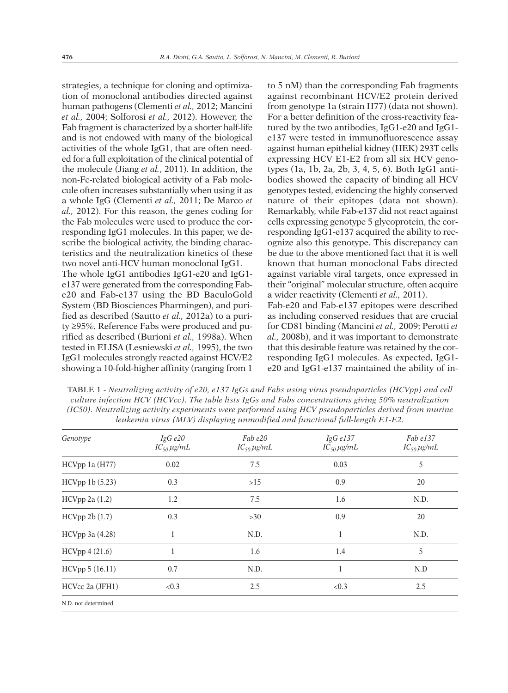strategies, a technique for cloning and optimization of monoclonal antibodies directed against human pathogens (Clementi *et al.,* 2012; Mancini *et al.,* 2004; Solforosi *et al.,* 2012). However, the Fab fragment is characterized by a shorter half-life and is not endowed with many of the biological activities of the whole IgG1, that are often needed for a full exploitation of the clinical potential of the molecule (Jiang *et al.*, 2011). In addition, the non-Fc-related biological activity of a Fab molecule often increases substantially when using it as a whole IgG (Clementi *et al.,* 2011; De Marco *et al.,* 2012). For this reason, the genes coding for the Fab molecules were used to produce the corresponding IgG1 molecules. In this paper, we describe the biological activity, the binding characteristics and the neutralization kinetics of these two novel anti-HCV human monoclonal IgG1. The whole IgG1 antibodies IgG1-e20 and IgG1 e137 were generated from the corresponding Fabe20 and Fab-e137 using the BD BaculoGold System (BD Biosciences Pharmingen), and purified as described (Sautto *et al.,* 2012a) to a purity ≥95%. Reference Fabs were produced and purified as described (Burioni *et al.,* 1998a). When tested in ELISA (Lesniewski *et al.,* 1995), the two IgG1 molecules strongly reacted against HCV/E2 showing a 10-fold-higher affinity (ranging from 1

to 5 nM) than the corresponding Fab fragments against recombinant HCV/E2 protein derived from genotype 1a (strain H77) (data not shown). For a better definition of the cross-reactivity featured by the two antibodies, IgG1-e20 and IgG1 e137 were tested in immunofluorescence assay against human epithelial kidney (HEK) 293T cells expressing HCV E1-E2 from all six HCV genotypes (1a, 1b, 2a, 2b, 3, 4, 5, 6). Both IgG1 antibodies showed the capacity of binding all HCV genotypes tested, evidencing the highly conserved nature of their epitopes (data not shown). Remarkably, while Fab-e137 did not react against cells expressing genotype 5 glycoprotein, the corresponding IgG1-e137 acquired the ability to recognize also this genotype. This discrepancy can be due to the above mentioned fact that it is well known that human monoclonal Fabs directed against variable viral targets, once expressed in their "original" molecular structure, often acquire a wider reactivity (Clementi *et al.,* 2011). Fab-e20 and Fab-e137 epitopes were described as including conserved residues that are crucial for CD81 binding (Mancini *et al.,* 2009; Perotti *et al.,* 2008b), and it was important to demonstrate that this desirable feature was retained by the corresponding IgG1 molecules. As expected, IgG1 e20 and IgG1-e137 maintained the ability of in-

TABLE 1 - *Neutralizing activity of e20, e137 IgGs and Fabs using virus pseudoparticles (HCVpp) and cell culture infection HCV (HCVcc). The table lists IgGs and Fabs concentrations giving 50% neutralization (IC50). Neutralizing activity experiments were performed using HCV pseudoparticles derived from murine leukemia virus (MLV) displaying unmodified and functional full-length E1-E2.*

| Genotype             | IgG e20<br>$IC_{50} \mu g/mL$ | Fab e20<br>$IC_{50} \mu g/mL$ | IgGe137<br>$IC_{50} \mu g/mL$ | $Fab$ $e137$<br>$IC_{50} \mu g/mL$ |
|----------------------|-------------------------------|-------------------------------|-------------------------------|------------------------------------|
| HCVpp 1a (H77)       | 0.02                          | 7.5                           | 0.03                          | 5                                  |
| HCVpp 1b(5.23)       | 0.3                           | $>15$                         | 0.9                           | 20                                 |
| HCVpp 2a(1.2)        | 1.2                           | 7.5                           | 1.6                           | N.D.                               |
| HCVpp 2b(1.7)        | 0.3                           | >30                           | 0.9                           | 20                                 |
| HCVpp 3a (4.28)      |                               | N.D.                          | $\mathbf{1}$                  | N.D.                               |
| HCVpp 4 (21.6)       |                               | 1.6                           | 1.4                           | 5                                  |
| HCVpp 5 (16.11)      | 0.7                           | N.D.                          | 1                             | N.D                                |
| HCVcc 2a (JFH1)      | < 0.3                         | 2.5                           | < 0.3                         | 2.5                                |
| N.D. not determined. |                               |                               |                               |                                    |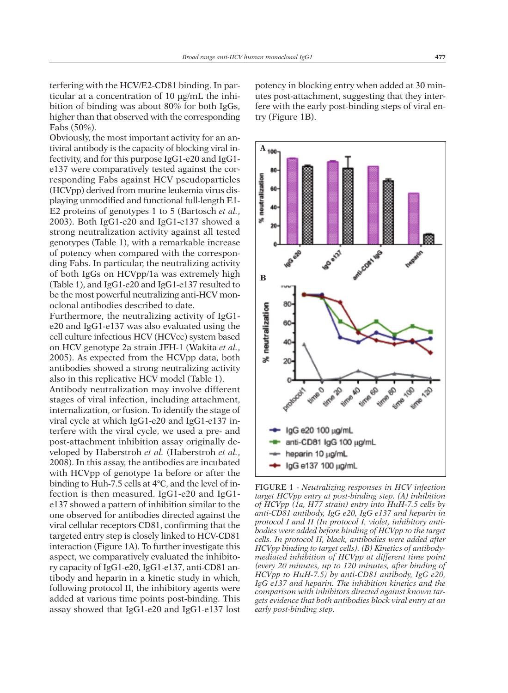terfering with the HCV/E2-CD81 binding. In particular at a concentration of 10 µg/mL the inhibition of binding was about 80% for both IgGs, higher than that observed with the corresponding Fabs (50%).

Obviously, the most important activity for an antiviral antibody is the capacity of blocking viral infectivity, and for this purpose IgG1-e20 and IgG1 e137 were comparatively tested against the corresponding Fabs against HCV pseudoparticles (HCVpp) derived from murine leukemia virus displaying unmodified and functional full-length E1- E2 proteins of genotypes 1 to 5 (Bartosch *et al.*, 2003). Both IgG1-e20 and IgG1-e137 showed a strong neutralization activity against all tested genotypes (Table 1), with a remarkable increase of potency when compared with the corresponding Fabs. In particular, the neutralizing activity of both IgGs on HCVpp/1a was extremely high (Table 1), and IgG1-e20 and IgG1-e137 resulted to be the most powerful neutralizing anti-HCV monoclonal antibodies described to date.

Furthermore, the neutralizing activity of IgG1 e20 and IgG1-e137 was also evaluated using the cell culture infectious HCV (HCVcc) system based on HCV genotype 2a strain JFH-1 (Wakita *et al.*, 2005). As expected from the HCVpp data, both antibodies showed a strong neutralizing activity also in this replicative HCV model (Table 1). Antibody neutralization may involve different stages of viral infection, including attachment, internalization, or fusion. To identify the stage of viral cycle at which IgG1-e20 and IgG1-e137 interfere with the viral cycle, we used a pre- and post-attachment inhibition assay originally developed by Haberstroh *et al.* (Haberstroh *et al.*, 2008). In this assay, the antibodies are incubated with HCVpp of genotype 1a before or after the binding to Huh-7.5 cells at 4°C, and the level of infection is then measured. IgG1-e20 and IgG1 e137 showed a pattern of inhibition similar to the one observed for antibodies directed against the viral cellular receptors CD81, confirming that the targeted entry step is closely linked to HCV-CD81 interaction (Figure 1A). To further investigate this aspect, we comparatively evaluated the inhibitory capacity of IgG1-e20, IgG1-e137, anti-CD81 antibody and heparin in a kinetic study in which, following protocol II, the inhibitory agents were added at various time points post-binding. This assay showed that IgG1-e20 and IgG1-e137 lost

potency in blocking entry when added at 30 minutes post-attachment, suggesting that they interfere with the early post-binding steps of viral entry (Figure 1B).



FIGURE 1 - *Neutralizing responses in HCV infection target HCVpp entry at post-binding step. (A) inhibition of HCVpp (1a, H77 strain) entry into HuH-7.5 cells by anti-CD81 antibody, IgG e20, IgG e137 and heparin in protocol I and II (In protocol I, violet, inhibitory antibodies were added before binding of HCVpp to the target cells. In protocol II, black, antibodies were added after HCVpp binding to target cells). (B) Kinetics of antibodymediated inhibition of HCVpp at different time point (every 20 minutes, up to 120 minutes, after binding of HCVpp to HuH-7.5) by anti-CD81 antibody, IgG e20, IgG e137 and heparin. The inhibition kinetics and the comparison with inhibitors directed against known targets evidence that both antibodies block viral entry at an early post-binding step.*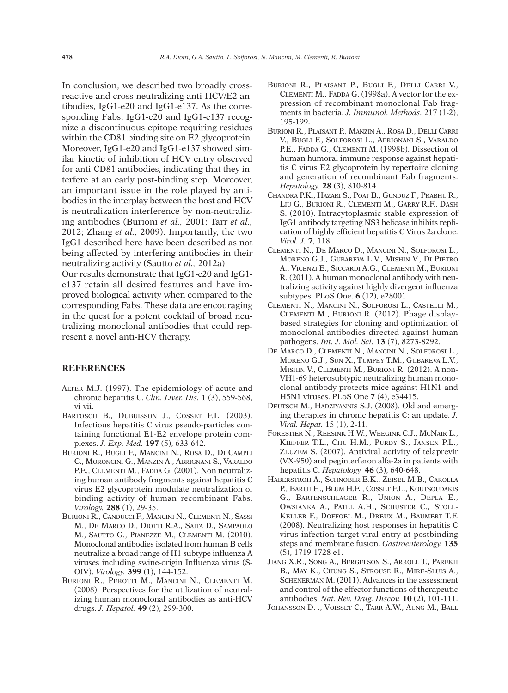In conclusion, we described two broadly crossreactive and cross-neutralizing anti-HCV/E2 antibodies, IgG1-e20 and IgG1-e137. As the corresponding Fabs, IgG1-e20 and IgG1-e137 recognize a discontinuous epitope requiring residues within the CD81 binding site on E2 glycoprotein. Moreover, IgG1-e20 and IgG1-e137 showed similar kinetic of inhibition of HCV entry observed for anti-CD81 antibodies, indicating that they interfere at an early post-binding step. Moreover, an important issue in the role played by antibodies in the interplay between the host and HCV is neutralization interference by non-neutralizing antibodies (Burioni *et al.,* 2001; Tarr *et al.,* 2012; Zhang *et al.,* 2009). Importantly, the two IgG1 described here have been described as not being affected by interfering antibodies in their neutralizing activity (Sautto *et al.,* 2012a) Our results demonstrate that IgG1-e20 and IgG1 e137 retain all desired features and have improved biological activity when compared to the corresponding Fabs. These data are encouraging in the quest for a potent cocktail of broad neu-

tralizing monoclonal antibodies that could represent a novel anti-HCV therapy.

## **REFERENCES**

- ALTER M.J. (1997). The epidemiology of acute and chronic hepatitis C. *Clin. Liver. Dis.* **1** (3), 559-568, vi-vii.
- BARTOSCH B., DUBUISSON J., COSSET F.L. (2003). Infectious hepatitis C virus pseudo-particles containing functional E1-E2 envelope protein complexes. *J. Exp. Med.* **197** (5), 633-642.
- BURIONI R., BUGLI F., MANCINI N., ROSA D., DI CAMPLI C., MORONCINI G., MANZIN A., ABRIGNANI S., VARALDO P.E., CLEMENTI M., FADDA G. (2001). Non neutralizing human antibody fragments against hepatitis C virus E2 glycoprotein modulate neutralization of binding activity of human recombinant Fabs. *Virology.* **288** (1), 29-35.
- BURIONI R., CANDUCCI F., MANCINI N., CLEMENTI N., SASSI M., DE MARCO D., DIOTTI R.A., SAITA D., SAMPAOLO M., SAUTTO G., PIANEZZE M., CLEMENTI M. (2010). Monoclonal antibodies isolated from human B cells neutralize a broad range of H1 subtype influenza A viruses including swine-origin Influenza virus (S-OIV). *Virology.* **399** (1), 144-152.
- BURIONI R., PEROTTI M., MANCINI N., CLEMENTI M. (2008). Perspectives for the utilization of neutralizing human monoclonal antibodies as anti-HCV drugs. *J. Hepatol.* **49** (2), 299-300.
- BURIONI R., PLAISANT P., BUGLI F., DELLI CARRI V., CLEMENTI M., FADDA G. (1998a). A vector for the expression of recombinant monoclonal Fab fragments in bacteria. *J. Immunol. Methods.* 217 (1-2), 195-199.
- BURIONI R., PLAISANT P., MANZIN A., ROSA D., DELLI CARRI V., BUGLI F., SOLFOROSI L., ABRIGNANI S., VARALDO P.E., FADDA G., CLEMENTI M. (1998b). Dissection of human humoral immune response against hepatitis C virus E2 glycoprotein by repertoire cloning and generation of recombinant Fab fragments. *Hepatology.* **28** (3), 810-814.
- CHANDRA P.K., HAZARI S., POAT B., GUNDUZ F., PRABHU R., LIU G., BURIONI R., CLEMENTI M., GARRY R.F., DASH S. (2010). Intracytoplasmic stable expression of IgG1 antibody targeting NS3 helicase inhibits replication of highly efficient hepatitis C Virus 2a clone. *Virol. J.* **7**, 118.
- CLEMENTI N., DE MARCO D., MANCINI N., SOLFOROSI L., MORENO G.J., GUBAREVA L.V., MISHIN V., DI PIETRO A., VICENZI E., SICCARDI A.G., CLEMENTI M., BURIONI R. (2011). A human monoclonal antibody with neutralizing activity against highly divergent influenza subtypes. PLoS One. **6** (12), e28001.
- CLEMENTI N., MANCINI N., SOLFOROSI L., CASTELLI M., CLEMENTI M., BURIONI R. (2012). Phage displaybased strategies for cloning and optimization of monoclonal antibodies directed against human pathogens. *Int. J. Mol. Sci.* **13** (7), 8273-8292.
- DE MARCO D., CLEMENTI N., MANCINI N., SOLFOROSI L., MORENO G.J., SUN X., TUMPEY T.M., GUBAREVA L.V., MISHIN V., CLEMENTI M., BURIONI R. (2012). A non-VH1-69 heterosubtypic neutralizing human monoclonal antibody protects mice against H1N1 and H5N1 viruses. PLoS One **7** (4), e34415.
- DEUTSCH M., HADZIYANNIS S.J. (2008). Old and emerging therapies in chronic hepatitis C: an update. *J. Viral. Hepat.* 15 (1), 2-11.
- FORESTIER N., REESINK H.W., WEEGINK C.J., MCNAIR L., KIEFFER T.L., CHU H.M., PURDY S., JANSEN P.L., ZEUZEM S. (2007). Antiviral activity of telaprevir (VX-950) and peginterferon alfa-2a in patients with hepatitis C. *Hepatology.* **46** (3), 640-648.
- HABERSTROH A., SCHNOBER E.K., ZEISEL M.B., CAROLLA P., BARTH H., BLUM H.E., COSSET F.L., KOUTSOUDAKIS G., BARTENSCHLAGER R., UNION A., DEPLA E., OWSIANKA A., PATEL A.H., SCHUSTER C., STOLL-KELLER F., DOFFOEL M., DREUX M., BAUMERT T.F. (2008). Neutralizing host responses in hepatitis C virus infection target viral entry at postbinding steps and membrane fusion. *Gastroenterology.* **135** (5), 1719-1728 e1.
- JIANG X.R., SONG A., BERGELSON S., ARROLL T., PAREKH B., MAY K., CHUNG S., STROUSE R., MIRE-SLUIS A., SCHENERMAN M. (2011). Advances in the assessment and control of the effector functions of therapeutic antibodies. *Nat. Rev. Drug. Discov.* **10** (2), 101-111.
- JOHANSSON D. ., VOISSET C., TARR A.W., AUNG M., BALL